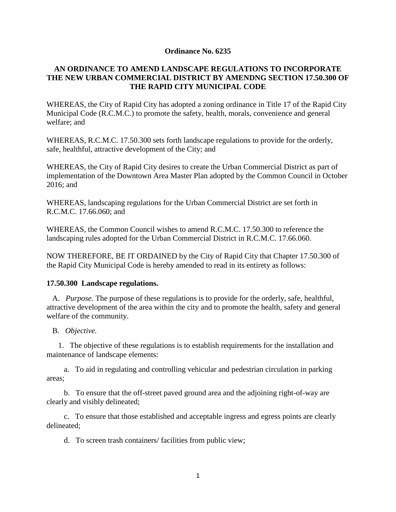## **Ordinance No. 6235**

## **AN ORDINANCE TO AMEND LANDSCAPE REGULATIONS TO INCORPORATE THE NEW URBAN COMMERCIAL DISTRICT BY AMENDNG SECTION 17.50.300 OF THE RAPID CITY MUNICIPAL CODE**

WHEREAS, the City of Rapid City has adopted a zoning ordinance in Title 17 of the Rapid City Municipal Code (R.C.M.C.) to promote the safety, health, morals, convenience and general welfare; and

WHEREAS, R.C.M.C. 17.50.300 sets forth landscape regulations to provide for the orderly, safe, healthful, attractive development of the City; and

WHEREAS, the City of Rapid City desires to create the Urban Commercial District as part of implementation of the Downtown Area Master Plan adopted by the Common Council in October 2016; and

WHEREAS, landscaping regulations for the Urban Commercial District are set forth in R.C.M.C. 17.66.060; and

WHEREAS, the Common Council wishes to amend R.C.M.C. 17.50.300 to reference the landscaping rules adopted for the Urban Commercial District in R.C.M.C. 17.66.060.

NOW THEREFORE, BE IT ORDAINED by the City of Rapid City that Chapter 17.50.300 of the Rapid City Municipal Code is hereby amended to read in its entirety as follows:

## **17.50.300 Landscape regulations.**

 A. *Purpose.* The purpose of these regulations is to provide for the orderly, safe, healthful, attractive development of the area within the city and to promote the health, safety and general welfare of the community.

B. *Objective.*

 1. The objective of these regulations is to establish requirements for the installation and maintenance of landscape elements:

 a. To aid in regulating and controlling vehicular and pedestrian circulation in parking areas;

 b. To ensure that the off-street paved ground area and the adjoining right-of-way are clearly and visibly delineated;

 c. To ensure that those established and acceptable ingress and egress points are clearly delineated;

d. To screen trash containers/ facilities from public view;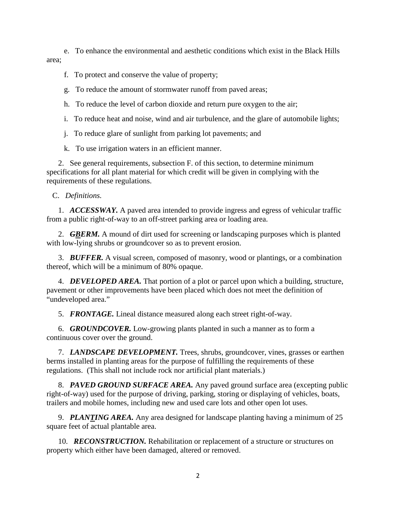e. To enhance the environmental and aesthetic conditions which exist in the Black Hills area;

- f. To protect and conserve the value of property;
- g. To reduce the amount of stormwater runoff from paved areas;
- h. To reduce the level of carbon dioxide and return pure oxygen to the air;
- i. To reduce heat and noise, wind and air turbulence, and the glare of automobile lights;
- j. To reduce glare of sunlight from parking lot pavements; and
- k. To use irrigation waters in an efficient manner.

 2. See general requirements, subsection F. of this section, to determine minimum specifications for all plant material for which credit will be given in complying with the requirements of these regulations.

C. *Definitions.*

 1. *ACCESSWAY.* A paved area intended to provide ingress and egress of vehicular traffic from a public right-of-way to an off-street parking area or loading area.

2. *GBERM*. A mound of dirt used for screening or landscaping purposes which is planted with low-lying shrubs or groundcover so as to prevent erosion.

 3. *BUFFER.* A visual screen, composed of masonry, wood or plantings, or a combination thereof, which will be a minimum of 80% opaque.

 4. *DEVELOPED AREA.* That portion of a plot or parcel upon which a building, structure, pavement or other improvements have been placed which does not meet the definition of "undeveloped area."

5. *FRONTAGE.* Lineal distance measured along each street right-of-way.

 6. *GROUNDCOVER.* Low-growing plants planted in such a manner as to form a continuous cover over the ground.

 7. *LANDSCAPE DEVELOPMENT.* Trees, shrubs, groundcover, vines, grasses or earthen berms installed in planting areas for the purpose of fulfilling the requirements of these regulations. (This shall not include rock nor artificial plant materials.)

 8. *PAVED GROUND SURFACE AREA.* Any paved ground surface area (excepting public right-of-way) used for the purpose of driving, parking, storing or displaying of vehicles, boats, trailers and mobile homes, including new and used care lots and other open lot uses.

 9. *PLANTING AREA.* Any area designed for landscape planting having a minimum of 25 square feet of actual plantable area.

 10. *RECONSTRUCTION.* Rehabilitation or replacement of a structure or structures on property which either have been damaged, altered or removed.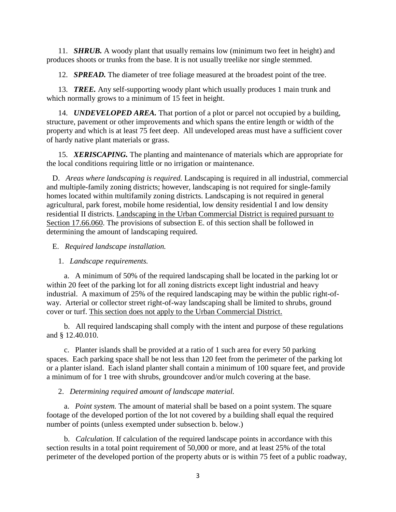11. *SHRUB.* A woody plant that usually remains low (minimum two feet in height) and produces shoots or trunks from the base. It is not usually treelike nor single stemmed.

12. *SPREAD.* The diameter of tree foliage measured at the broadest point of the tree.

 13. *TREE.* Any self-supporting woody plant which usually produces 1 main trunk and which normally grows to a minimum of 15 feet in height.

 14. *UNDEVELOPED AREA.* That portion of a plot or parcel not occupied by a building, structure, pavement or other improvements and which spans the entire length or width of the property and which is at least 75 feet deep. All undeveloped areas must have a sufficient cover of hardy native plant materials or grass.

 15. *XERISCAPING.* The planting and maintenance of materials which are appropriate for the local conditions requiring little or no irrigation or maintenance.

 D. *Areas where landscaping is required.* Landscaping is required in all industrial, commercial and multiple-family zoning districts; however, landscaping is not required for single-family homes located within multifamily zoning districts. Landscaping is not required in general agricultural, park forest, mobile home residential, low density residential I and low density residential II districts. Landscaping in the Urban Commercial District is required pursuant to Section 17.66.060. The provisions of subsection E. of this section shall be followed in determining the amount of landscaping required.

E. *Required landscape installation.*

1. *Landscape requirements.*

 a. A minimum of 50% of the required landscaping shall be located in the parking lot or within 20 feet of the parking lot for all zoning districts except light industrial and heavy industrial. A maximum of 25% of the required landscaping may be within the public right-ofway. Arterial or collector street right-of-way landscaping shall be limited to shrubs, ground cover or turf. This section does not apply to the Urban Commercial District.

 b. All required landscaping shall comply with the intent and purpose of these regulations and § 12.40.010.

 c. Planter islands shall be provided at a ratio of 1 such area for every 50 parking spaces. Each parking space shall be not less than 120 feet from the perimeter of the parking lot or a planter island. Each island planter shall contain a minimum of 100 square feet, and provide a minimum of for 1 tree with shrubs, groundcover and/or mulch covering at the base.

2. *Determining required amount of landscape material.*

 a. *Point system.* The amount of material shall be based on a point system. The square footage of the developed portion of the lot not covered by a building shall equal the required number of points (unless exempted under subsection b. below.)

 b. *Calculation.* If calculation of the required landscape points in accordance with this section results in a total point requirement of 50,000 or more, and at least 25% of the total perimeter of the developed portion of the property abuts or is within 75 feet of a public roadway,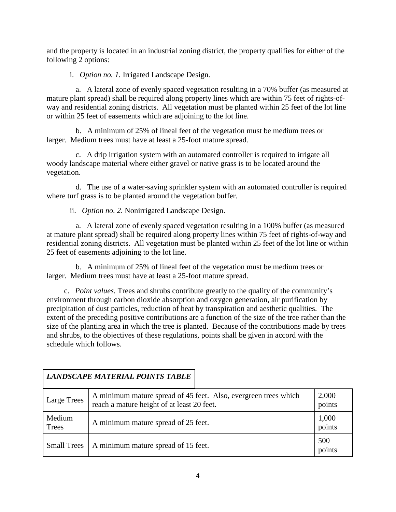and the property is located in an industrial zoning district, the property qualifies for either of the following 2 options:

i. *Option no. 1.* Irrigated Landscape Design.

 a. A lateral zone of evenly spaced vegetation resulting in a 70% buffer (as measured at mature plant spread) shall be required along property lines which are within 75 feet of rights-ofway and residential zoning districts. All vegetation must be planted within 25 feet of the lot line or within 25 feet of easements which are adjoining to the lot line.

 b. A minimum of 25% of lineal feet of the vegetation must be medium trees or larger. Medium trees must have at least a 25-foot mature spread.

 c. A drip irrigation system with an automated controller is required to irrigate all woody landscape material where either gravel or native grass is to be located around the vegetation.

 d. The use of a water-saving sprinkler system with an automated controller is required where turf grass is to be planted around the vegetation buffer.

ii. *Option no. 2.* Nonirrigated Landscape Design.

 a. A lateral zone of evenly spaced vegetation resulting in a 100% buffer (as measured at mature plant spread) shall be required along property lines within 75 feet of rights-of-way and residential zoning districts. All vegetation must be planted within 25 feet of the lot line or within 25 feet of easements adjoining to the lot line.

 b. A minimum of 25% of lineal feet of the vegetation must be medium trees or larger. Medium trees must have at least a 25-foot mature spread.

 c. *Point values.* Trees and shrubs contribute greatly to the quality of the community's environment through carbon dioxide absorption and oxygen generation, air purification by precipitation of dust particles, reduction of heat by transpiration and aesthetic qualities. The extent of the preceding positive contributions are a function of the size of the tree rather than the size of the planting area in which the tree is planted. Because of the contributions made by trees and shrubs, to the objectives of these regulations, points shall be given in accord with the schedule which follows.

|                    | <b>LANDSCAPE MATERIAL POINTS TABLE</b>                                                                        |                 |
|--------------------|---------------------------------------------------------------------------------------------------------------|-----------------|
| <b>Large Trees</b> | A minimum mature spread of 45 feet. Also, evergreen trees which<br>reach a mature height of at least 20 feet. | 2,000<br>points |
| Medium<br>Trees    | A minimum mature spread of 25 feet.                                                                           | 1,000<br>points |
| <b>Small Trees</b> | A minimum mature spread of 15 feet.                                                                           | 500<br>points   |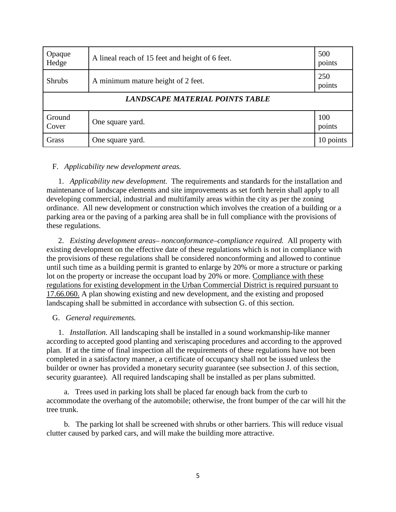| Opaque<br>Hedge                 | A lineal reach of 15 feet and height of 6 feet. | 500<br>points |  |
|---------------------------------|-------------------------------------------------|---------------|--|
| <b>Shrubs</b>                   | A minimum mature height of 2 feet.              | 250<br>points |  |
| LANDSCAPE MATERIAL POINTS TABLE |                                                 |               |  |
| Ground<br>Cover                 | One square yard.                                | 100<br>points |  |
| Grass                           | One square yard.                                | 10 points     |  |

## F. *Applicability new development areas.*

 1. *Applicability new development.* The requirements and standards for the installation and maintenance of landscape elements and site improvements as set forth herein shall apply to all developing commercial, industrial and multifamily areas within the city as per the zoning ordinance. All new development or construction which involves the creation of a building or a parking area or the paving of a parking area shall be in full compliance with the provisions of these regulations.

 2. *Existing development areas– nonconformance–compliance required.* All property with existing development on the effective date of these regulations which is not in compliance with the provisions of these regulations shall be considered nonconforming and allowed to continue until such time as a building permit is granted to enlarge by 20% or more a structure or parking lot on the property or increase the occupant load by 20% or more. Compliance with these regulations for existing development in the Urban Commercial District is required pursuant to 17.66.060. A plan showing existing and new development, and the existing and proposed landscaping shall be submitted in accordance with subsection G. of this section.

## G. *General requirements.*

 1. *Installation.* All landscaping shall be installed in a sound workmanship-like manner according to accepted good planting and xeriscaping procedures and according to the approved plan. If at the time of final inspection all the requirements of these regulations have not been completed in a satisfactory manner, a certificate of occupancy shall not be issued unless the builder or owner has provided a monetary security guarantee (see subsection J. of this section, security guarantee). All required landscaping shall be installed as per plans submitted.

 a. Trees used in parking lots shall be placed far enough back from the curb to accommodate the overhang of the automobile; otherwise, the front bumper of the car will hit the tree trunk.

 b. The parking lot shall be screened with shrubs or other barriers. This will reduce visual clutter caused by parked cars, and will make the building more attractive.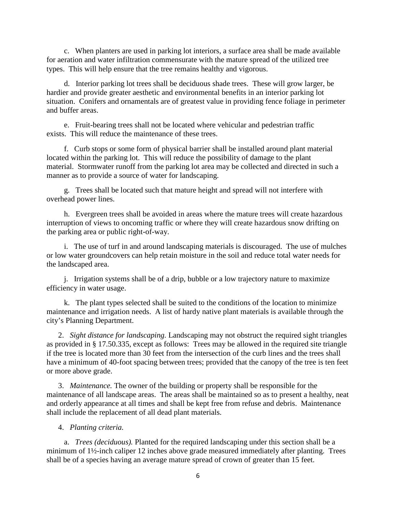c. When planters are used in parking lot interiors, a surface area shall be made available for aeration and water infiltration commensurate with the mature spread of the utilized tree types. This will help ensure that the tree remains healthy and vigorous.

 d. Interior parking lot trees shall be deciduous shade trees. These will grow larger, be hardier and provide greater aesthetic and environmental benefits in an interior parking lot situation. Conifers and ornamentals are of greatest value in providing fence foliage in perimeter and buffer areas.

 e. Fruit-bearing trees shall not be located where vehicular and pedestrian traffic exists. This will reduce the maintenance of these trees.

 f. Curb stops or some form of physical barrier shall be installed around plant material located within the parking lot. This will reduce the possibility of damage to the plant material. Stormwater runoff from the parking lot area may be collected and directed in such a manner as to provide a source of water for landscaping.

 g. Trees shall be located such that mature height and spread will not interfere with overhead power lines.

 h. Evergreen trees shall be avoided in areas where the mature trees will create hazardous interruption of views to oncoming traffic or where they will create hazardous snow drifting on the parking area or public right-of-way.

 i. The use of turf in and around landscaping materials is discouraged. The use of mulches or low water groundcovers can help retain moisture in the soil and reduce total water needs for the landscaped area.

 j. Irrigation systems shall be of a drip, bubble or a low trajectory nature to maximize efficiency in water usage.

 k. The plant types selected shall be suited to the conditions of the location to minimize maintenance and irrigation needs. A list of hardy native plant materials is available through the city's Planning Department.

 2. *Sight distance for landscaping.* Landscaping may not obstruct the required sight triangles as provided in § 17.50.335, except as follows: Trees may be allowed in the required site triangle if the tree is located more than 30 feet from the intersection of the curb lines and the trees shall have a minimum of 40-foot spacing between trees; provided that the canopy of the tree is ten feet or more above grade.

 3. *Maintenance.* The owner of the building or property shall be responsible for the maintenance of all landscape areas. The areas shall be maintained so as to present a healthy, neat and orderly appearance at all times and shall be kept free from refuse and debris. Maintenance shall include the replacement of all dead plant materials.

4. *Planting criteria.*

 a. *Trees (deciduous).* Planted for the required landscaping under this section shall be a minimum of 1½-inch caliper 12 inches above grade measured immediately after planting. Trees shall be of a species having an average mature spread of crown of greater than 15 feet.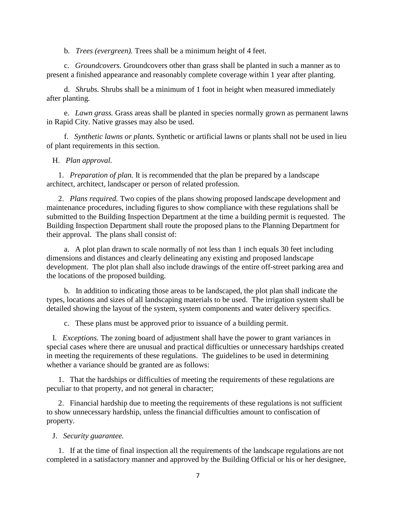b. *Trees (evergreen).* Trees shall be a minimum height of 4 feet.

 c. *Groundcovers.* Groundcovers other than grass shall be planted in such a manner as to present a finished appearance and reasonably complete coverage within 1 year after planting.

 d. *Shrubs.* Shrubs shall be a minimum of 1 foot in height when measured immediately after planting.

 e. *Lawn grass.* Grass areas shall be planted in species normally grown as permanent lawns in Rapid City. Native grasses may also be used.

 f. *Synthetic lawns or plants.* Synthetic or artificial lawns or plants shall not be used in lieu of plant requirements in this section.

#### H. *Plan approval.*

 1. *Preparation of plan.* It is recommended that the plan be prepared by a landscape architect, architect, landscaper or person of related profession.

 2. *Plans required.* Two copies of the plans showing proposed landscape development and maintenance procedures, including figures to show compliance with these regulations shall be submitted to the Building Inspection Department at the time a building permit is requested. The Building Inspection Department shall route the proposed plans to the Planning Department for their approval. The plans shall consist of:

 a. A plot plan drawn to scale normally of not less than 1 inch equals 30 feet including dimensions and distances and clearly delineating any existing and proposed landscape development. The plot plan shall also include drawings of the entire off-street parking area and the locations of the proposed building.

 b. In addition to indicating those areas to be landscaped, the plot plan shall indicate the types, locations and sizes of all landscaping materials to be used. The irrigation system shall be detailed showing the layout of the system, system components and water delivery specifics.

c. These plans must be approved prior to issuance of a building permit.

 I. *Exceptions.* The zoning board of adjustment shall have the power to grant variances in special cases where there are unusual and practical difficulties or unnecessary hardships created in meeting the requirements of these regulations. The guidelines to be used in determining whether a variance should be granted are as follows:

 1. That the hardships or difficulties of meeting the requirements of these regulations are peculiar to that property, and not general in character;

 2. Financial hardship due to meeting the requirements of these regulations is not sufficient to show unnecessary hardship, unless the financial difficulties amount to confiscation of property.

#### J. *Security guarantee.*

 1. If at the time of final inspection all the requirements of the landscape regulations are not completed in a satisfactory manner and approved by the Building Official or his or her designee,